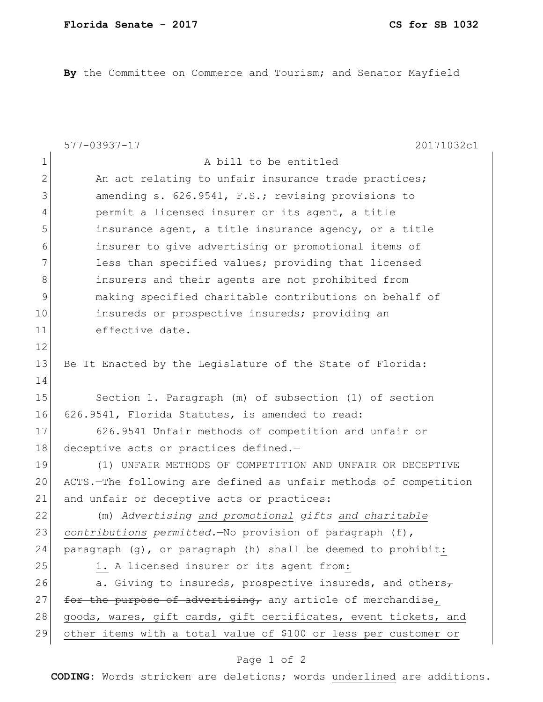**By** the Committee on Commerce and Tourism; and Senator Mayfield

|                | 20171032c1<br>577-03937-17                                       |
|----------------|------------------------------------------------------------------|
| $\mathbf 1$    | A bill to be entitled                                            |
| $\overline{2}$ | An act relating to unfair insurance trade practices;             |
| 3              | amending s. 626.9541, F.S.; revising provisions to               |
| $\overline{4}$ | permit a licensed insurer or its agent, a title                  |
| 5              | insurance agent, a title insurance agency, or a title            |
| 6              | insurer to give advertising or promotional items of              |
| 7              | less than specified values; providing that licensed              |
| 8              | insurers and their agents are not prohibited from                |
| $\mathsf 9$    | making specified charitable contributions on behalf of           |
| 10             | insureds or prospective insureds; providing an                   |
| 11             | effective date.                                                  |
| 12             |                                                                  |
| 13             | Be It Enacted by the Leqislature of the State of Florida:        |
| 14             |                                                                  |
| 15             | Section 1. Paragraph (m) of subsection (1) of section            |
| 16             | 626.9541, Florida Statutes, is amended to read:                  |
| 17             | 626.9541 Unfair methods of competition and unfair or             |
| 18             | deceptive acts or practices defined.-                            |
| 19             | (1) UNFAIR METHODS OF COMPETITION AND UNFAIR OR DECEPTIVE        |
| 20             | ACTS.-The following are defined as unfair methods of competition |
| 21             | and unfair or deceptive acts or practices:                       |
| 22             | (m) Advertising and promotional gifts and charitable             |
| 23             | contributions permitted. No provision of paragraph (f),          |
| 24             | paragraph (g), or paragraph (h) shall be deemed to prohibit:     |
| 25             | 1. A licensed insurer or its agent from:                         |
| 26             | a. Giving to insureds, prospective insureds, and others $\tau$   |
| 27             | for the purpose of advertising, any article of merchandise,      |
| 28             | goods, wares, gift cards, gift certificates, event tickets, and  |
| 29             | other items with a total value of \$100 or less per customer or  |

## Page 1 of 2

**CODING**: Words stricken are deletions; words underlined are additions.